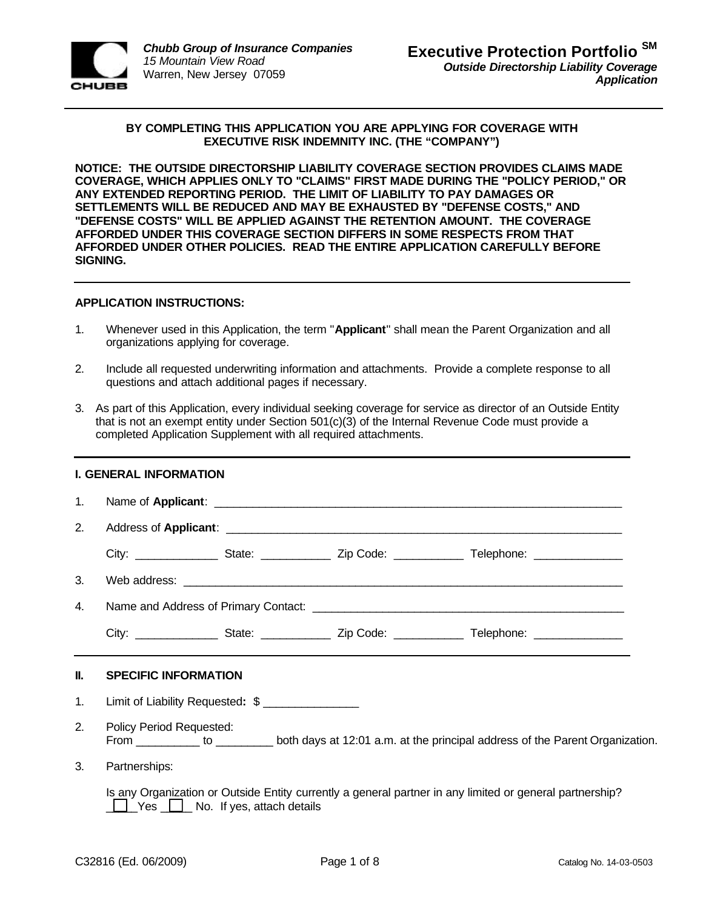

## **BY COMPLETING THIS APPLICATION YOU ARE APPLYING FOR COVERAGE WITH EXECUTIVE RISK INDEMNITY INC. (THE "COMPANY")**

**NOTICE: THE OUTSIDE DIRECTORSHIP LIABILITY COVERAGE SECTION PROVIDES CLAIMS MADE COVERAGE, WHICH APPLIES ONLY TO "CLAIMS" FIRST MADE DURING THE "POLICY PERIOD," OR ANY EXTENDED REPORTING PERIOD. THE LIMIT OF LIABILITY TO PAY DAMAGES OR SETTLEMENTS WILL BE REDUCED AND MAY BE EXHAUSTED BY "DEFENSE COSTS," AND "DEFENSE COSTS" WILL BE APPLIED AGAINST THE RETENTION AMOUNT. THE COVERAGE AFFORDED UNDER THIS COVERAGE SECTION DIFFERS IN SOME RESPECTS FROM THAT AFFORDED UNDER OTHER POLICIES. READ THE ENTIRE APPLICATION CAREFULLY BEFORE SIGNING.**

## **APPLICATION INSTRUCTIONS:**

- 1. Whenever used in this Application, the term "**Applicant**" shall mean the Parent Organization and all organizations applying for coverage.
- 2. Include all requested underwriting information and attachments. Provide a complete response to all questions and attach additional pages if necessary.
- 3. As part of this Application, every individual seeking coverage for service as director of an Outside Entity that is not an exempt entity under Section 501(c)(3) of the Internal Revenue Code must provide a completed Application Supplement with all required attachments.

| <b>I. GENERAL INFORMATION</b> |                                                                                                                                              |  |  |  |  |  |  |
|-------------------------------|----------------------------------------------------------------------------------------------------------------------------------------------|--|--|--|--|--|--|
| $1_{-}$                       |                                                                                                                                              |  |  |  |  |  |  |
| 2.                            |                                                                                                                                              |  |  |  |  |  |  |
|                               |                                                                                                                                              |  |  |  |  |  |  |
| 3.                            |                                                                                                                                              |  |  |  |  |  |  |
| 4.                            |                                                                                                                                              |  |  |  |  |  |  |
|                               |                                                                                                                                              |  |  |  |  |  |  |
| Ш.                            | <b>SPECIFIC INFORMATION</b>                                                                                                                  |  |  |  |  |  |  |
| 1.                            | Limit of Liability Requested: \$                                                                                                             |  |  |  |  |  |  |
| 2.                            | Policy Period Requested:<br>From ___________ to ___________ both days at 12:01 a.m. at the principal address of the Parent Organization.     |  |  |  |  |  |  |
| $\mathbf{3}$                  | Partnerships:                                                                                                                                |  |  |  |  |  |  |
|                               | Is any Organization or Outside Entity currently a general partner in any limited or general partnership?<br>Yes U No. If yes, attach details |  |  |  |  |  |  |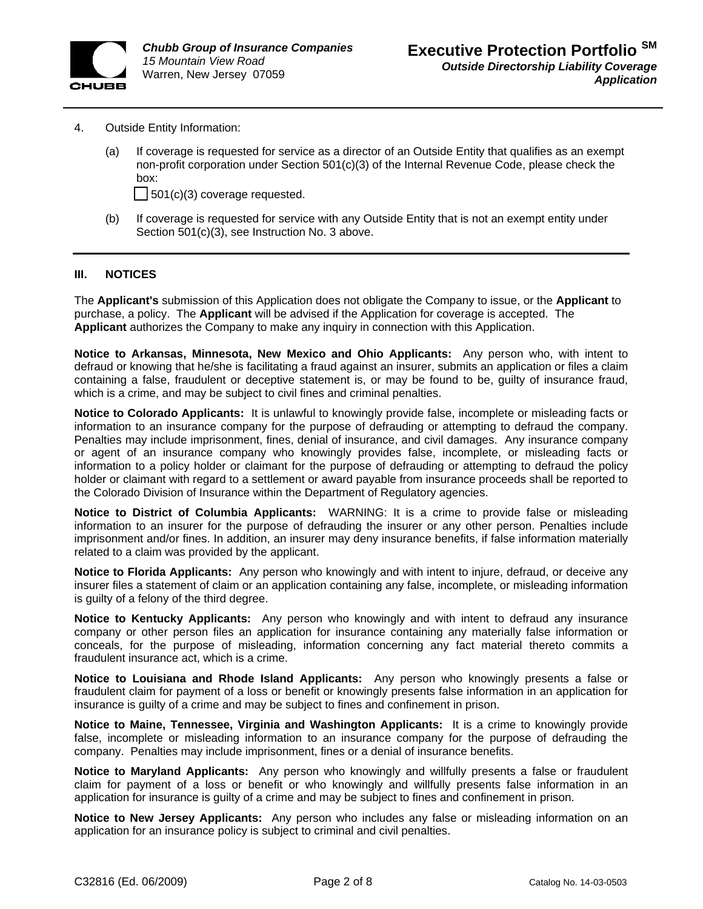

- 4. Outside Entity Information:
	- (a) If coverage is requested for service as a director of an Outside Entity that qualifies as an exempt non-profit corporation under Section 501(c)(3) of the Internal Revenue Code, please check the box:

 $\Box$  501(c)(3) coverage requested.

(b) If coverage is requested for service with any Outside Entity that is not an exempt entity under Section 501(c)(3), see Instruction No. 3 above.

## **III. NOTICES**

The **Applicant's** submission of this Application does not obligate the Company to issue, or the **Applicant** to purchase, a policy. The **Applicant** will be advised if the Application for coverage is accepted. The **Applicant** authorizes the Company to make any inquiry in connection with this Application.

**Notice to Arkansas, Minnesota, New Mexico and Ohio Applicants:** Any person who, with intent to defraud or knowing that he/she is facilitating a fraud against an insurer, submits an application or files a claim containing a false, fraudulent or deceptive statement is, or may be found to be, guilty of insurance fraud, which is a crime, and may be subject to civil fines and criminal penalties.

**Notice to Colorado Applicants:** It is unlawful to knowingly provide false, incomplete or misleading facts or information to an insurance company for the purpose of defrauding or attempting to defraud the company. Penalties may include imprisonment, fines, denial of insurance, and civil damages. Any insurance company or agent of an insurance company who knowingly provides false, incomplete, or misleading facts or information to a policy holder or claimant for the purpose of defrauding or attempting to defraud the policy holder or claimant with regard to a settlement or award payable from insurance proceeds shall be reported to the Colorado Division of Insurance within the Department of Regulatory agencies.

**Notice to District of Columbia Applicants:** WARNING: It is a crime to provide false or misleading information to an insurer for the purpose of defrauding the insurer or any other person. Penalties include imprisonment and/or fines. In addition, an insurer may deny insurance benefits, if false information materially related to a claim was provided by the applicant.

**Notice to Florida Applicants:** Any person who knowingly and with intent to injure, defraud, or deceive any insurer files a statement of claim or an application containing any false, incomplete, or misleading information is guilty of a felony of the third degree.

**Notice to Kentucky Applicants:** Any person who knowingly and with intent to defraud any insurance company or other person files an application for insurance containing any materially false information or conceals, for the purpose of misleading, information concerning any fact material thereto commits a fraudulent insurance act, which is a crime.

**Notice to Louisiana and Rhode Island Applicants:** Any person who knowingly presents a false or fraudulent claim for payment of a loss or benefit or knowingly presents false information in an application for insurance is guilty of a crime and may be subject to fines and confinement in prison.

**Notice to Maine, Tennessee, Virginia and Washington Applicants:** It is a crime to knowingly provide false, incomplete or misleading information to an insurance company for the purpose of defrauding the company. Penalties may include imprisonment, fines or a denial of insurance benefits.

**Notice to Maryland Applicants:** Any person who knowingly and willfully presents a false or fraudulent claim for payment of a loss or benefit or who knowingly and willfully presents false information in an application for insurance is guilty of a crime and may be subject to fines and confinement in prison.

**Notice to New Jersey Applicants:** Any person who includes any false or misleading information on an application for an insurance policy is subject to criminal and civil penalties.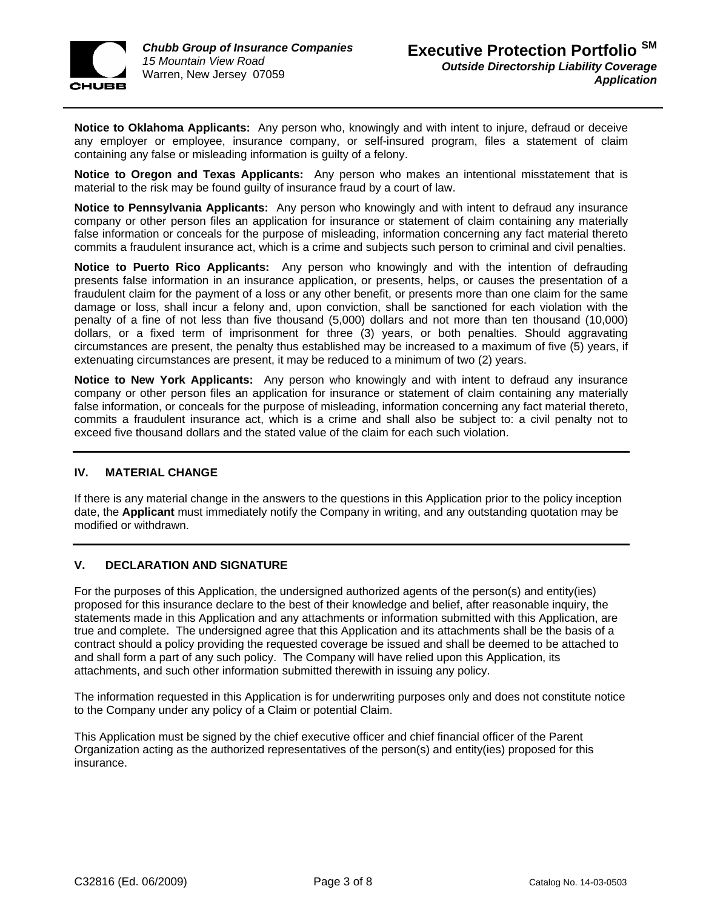

**Notice to Oklahoma Applicants:** Any person who, knowingly and with intent to injure, defraud or deceive any employer or employee, insurance company, or self-insured program, files a statement of claim containing any false or misleading information is guilty of a felony.

**Notice to Oregon and Texas Applicants:** Any person who makes an intentional misstatement that is material to the risk may be found guilty of insurance fraud by a court of law.

**Notice to Pennsylvania Applicants:** Any person who knowingly and with intent to defraud any insurance company or other person files an application for insurance or statement of claim containing any materially false information or conceals for the purpose of misleading, information concerning any fact material thereto commits a fraudulent insurance act, which is a crime and subjects such person to criminal and civil penalties.

**Notice to Puerto Rico Applicants:** Any person who knowingly and with the intention of defrauding presents false information in an insurance application, or presents, helps, or causes the presentation of a fraudulent claim for the payment of a loss or any other benefit, or presents more than one claim for the same damage or loss, shall incur a felony and, upon conviction, shall be sanctioned for each violation with the penalty of a fine of not less than five thousand (5,000) dollars and not more than ten thousand (10,000) dollars, or a fixed term of imprisonment for three (3) years, or both penalties. Should aggravating circumstances are present, the penalty thus established may be increased to a maximum of five (5) years, if extenuating circumstances are present, it may be reduced to a minimum of two (2) years.

**Notice to New York Applicants:** Any person who knowingly and with intent to defraud any insurance company or other person files an application for insurance or statement of claim containing any materially false information, or conceals for the purpose of misleading, information concerning any fact material thereto, commits a fraudulent insurance act, which is a crime and shall also be subject to: a civil penalty not to exceed five thousand dollars and the stated value of the claim for each such violation.

# **IV. MATERIAL CHANGE**

If there is any material change in the answers to the questions in this Application prior to the policy inception date, the **Applicant** must immediately notify the Company in writing, and any outstanding quotation may be modified or withdrawn.

# **V. DECLARATION AND SIGNATURE**

For the purposes of this Application, the undersigned authorized agents of the person(s) and entity(ies) proposed for this insurance declare to the best of their knowledge and belief, after reasonable inquiry, the statements made in this Application and any attachments or information submitted with this Application, are true and complete. The undersigned agree that this Application and its attachments shall be the basis of a contract should a policy providing the requested coverage be issued and shall be deemed to be attached to and shall form a part of any such policy. The Company will have relied upon this Application, its attachments, and such other information submitted therewith in issuing any policy.

The information requested in this Application is for underwriting purposes only and does not constitute notice to the Company under any policy of a Claim or potential Claim.

This Application must be signed by the chief executive officer and chief financial officer of the Parent Organization acting as the authorized representatives of the person(s) and entity(ies) proposed for this insurance.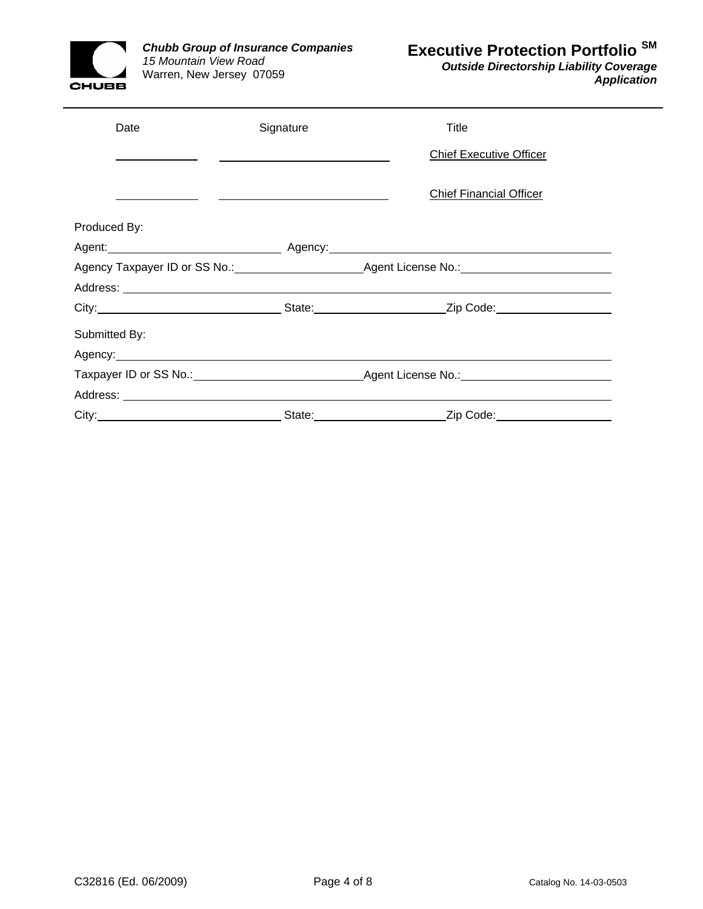

*Outside Directorship Liability Coverage Application*

| Date          | Signature | Title                                                                                                                                                                                                                         |  |
|---------------|-----------|-------------------------------------------------------------------------------------------------------------------------------------------------------------------------------------------------------------------------------|--|
|               |           | <b>Chief Executive Officer</b>                                                                                                                                                                                                |  |
|               |           | <b>Chief Financial Officer</b>                                                                                                                                                                                                |  |
| Produced By:  |           |                                                                                                                                                                                                                               |  |
|               |           |                                                                                                                                                                                                                               |  |
|               |           |                                                                                                                                                                                                                               |  |
|               |           |                                                                                                                                                                                                                               |  |
|               |           | City: City: City: City: City: City: City: City: Code: City: Code: City: Code: City: Code: City: Code: City: Code: City: Code: City: Code: City: Code: City: Code: City: City: Code: City: City: City: City: City: City: City: |  |
| Submitted By: |           |                                                                                                                                                                                                                               |  |
|               |           |                                                                                                                                                                                                                               |  |
|               |           |                                                                                                                                                                                                                               |  |
|               |           |                                                                                                                                                                                                                               |  |
|               |           | State: <u>Zip Code:</u> Zip Code:                                                                                                                                                                                             |  |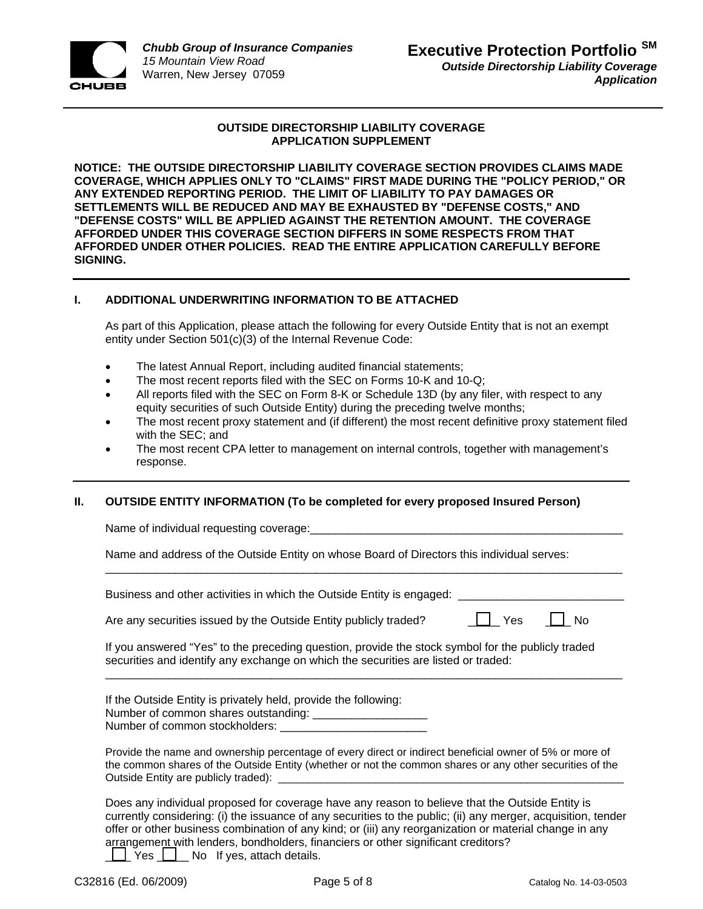

# **OUTSIDE DIRECTORSHIP LIABILITY COVERAGE APPLICATION SUPPLEMENT**

**NOTICE: THE OUTSIDE DIRECTORSHIP LIABILITY COVERAGE SECTION PROVIDES CLAIMS MADE COVERAGE, WHICH APPLIES ONLY TO "CLAIMS" FIRST MADE DURING THE "POLICY PERIOD," OR ANY EXTENDED REPORTING PERIOD. THE LIMIT OF LIABILITY TO PAY DAMAGES OR SETTLEMENTS WILL BE REDUCED AND MAY BE EXHAUSTED BY "DEFENSE COSTS," AND "DEFENSE COSTS" WILL BE APPLIED AGAINST THE RETENTION AMOUNT. THE COVERAGE AFFORDED UNDER THIS COVERAGE SECTION DIFFERS IN SOME RESPECTS FROM THAT AFFORDED UNDER OTHER POLICIES. READ THE ENTIRE APPLICATION CAREFULLY BEFORE SIGNING.** 

# **I. ADDITIONAL UNDERWRITING INFORMATION TO BE ATTACHED**

As part of this Application, please attach the following for every Outside Entity that is not an exempt entity under Section 501(c)(3) of the Internal Revenue Code:

- The latest Annual Report, including audited financial statements;
- The most recent reports filed with the SEC on Forms 10-K and 10-Q;
- All reports filed with the SEC on Form 8-K or Schedule 13D (by any filer, with respect to any equity securities of such Outside Entity) during the preceding twelve months;
- The most recent proxy statement and (if different) the most recent definitive proxy statement filed with the SEC; and
- The most recent CPA letter to management on internal controls, together with management's response.

\_\_\_\_\_\_\_\_\_\_\_\_\_\_\_\_\_\_\_\_\_\_\_\_\_\_\_\_\_\_\_\_\_\_\_\_\_\_\_\_\_\_\_\_\_\_\_\_\_\_\_\_\_\_\_\_\_\_\_\_\_\_\_\_\_\_\_\_\_\_\_\_\_\_\_\_\_\_\_\_\_

# **II. OUTSIDE ENTITY INFORMATION (To be completed for every proposed Insured Person)**

Name of individual requesting coverage:

Name and address of the Outside Entity on whose Board of Directors this individual serves:

Business and other activities in which the Outside Entity is engaged:

Are any securities issued by the Outside Entity publicly traded?  $\Box$  Yes  $\Box$  No

If you answered "Yes" to the preceding question, provide the stock symbol for the publicly traded securities and identify any exchange on which the securities are listed or traded:

\_\_\_\_\_\_\_\_\_\_\_\_\_\_\_\_\_\_\_\_\_\_\_\_\_\_\_\_\_\_\_\_\_\_\_\_\_\_\_\_\_\_\_\_\_\_\_\_\_\_\_\_\_\_\_\_\_\_\_\_\_\_\_\_\_\_\_\_\_\_\_\_\_\_\_\_\_\_\_\_\_

If the Outside Entity is privately held, provide the following: Number of common shares outstanding: \_\_\_\_\_\_\_\_\_\_ Number of common stockholders: \_\_\_

Provide the name and ownership percentage of every direct or indirect beneficial owner of 5% or more of the common shares of the Outside Entity (whether or not the common shares or any other securities of the Outside Entity are publicly traded): \_

Does any individual proposed for coverage have any reason to believe that the Outside Entity is currently considering: (i) the issuance of any securities to the public; (ii) any merger, acquisition, tender offer or other business combination of any kind; or (iii) any reorganization or material change in any arrangement with lenders, bondholders, financiers or other significant creditors?  $\Box$  Yes  $\Box$  No If yes, attach details.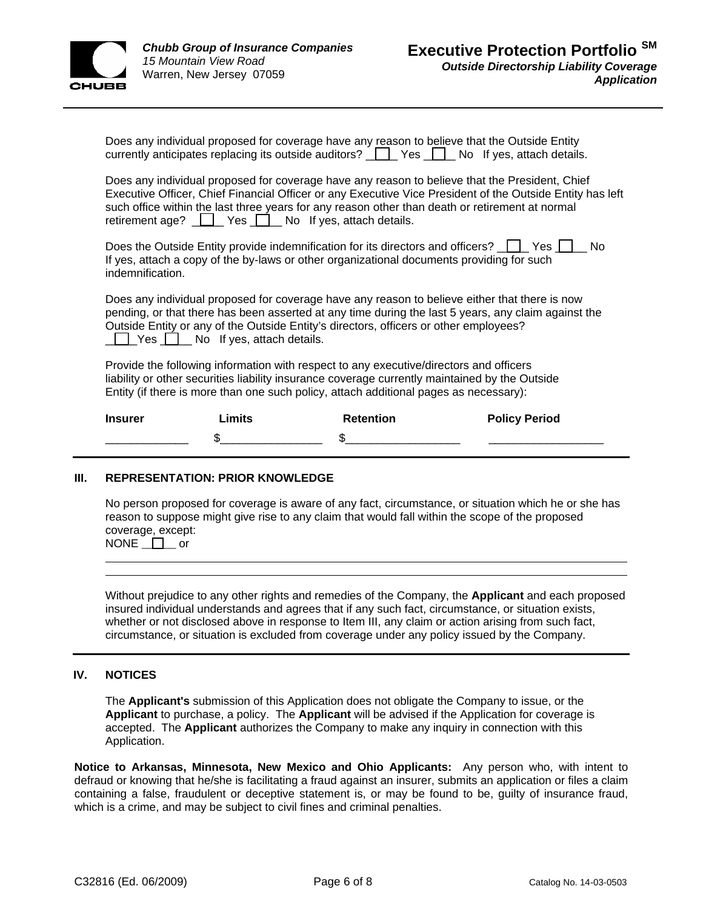

| Does any individual proposed for coverage have any reason to believe that the Outside Entity |  |
|----------------------------------------------------------------------------------------------|--|
| currently anticipates replacing its outside auditors? Ves No If yes, attach details.         |  |

Does any individual proposed for coverage have any reason to believe that the President, Chief Executive Officer, Chief Financial Officer or any Executive Vice President of the Outside Entity has left such office within the last three years for any reason other than death or retirement at normal retirement age? <u>\_\_\_\_\_</u> Yes \_\_\_\_\_ No If yes, attach details.

Does the Outside Entity provide indemnification for its directors and officers?  $\Box$  Yes  $\Box$  No If yes, attach a copy of the by-laws or other organizational documents providing for such indemnification.

Does any individual proposed for coverage have any reason to believe either that there is now pending, or that there has been asserted at any time during the last 5 years, any claim against the Outside Entity or any of the Outside Entity's directors, officers or other employees? **THE Yes DE No If yes, attach details.** 

Provide the following information with respect to any executive/directors and officers liability or other securities liability insurance coverage currently maintained by the Outside Entity (if there is more than one such policy, attach additional pages as necessary):

| <b>Insurer</b> | .imits | <b>Retention</b> | <b>Policy Period</b> |
|----------------|--------|------------------|----------------------|
|                | ٠n     |                  |                      |

#### **III. REPRESENTATION: PRIOR KNOWLEDGE**

No person proposed for coverage is aware of any fact, circumstance, or situation which he or she has reason to suppose might give rise to any claim that would fall within the scope of the proposed coverage, except:

 $\mathsf{NONE} \_ \square$  or

Without prejudice to any other rights and remedies of the Company, the **Applicant** and each proposed insured individual understands and agrees that if any such fact, circumstance, or situation exists, whether or not disclosed above in response to Item III, any claim or action arising from such fact, circumstance, or situation is excluded from coverage under any policy issued by the Company.

## **IV. NOTICES**

The **Applicant's** submission of this Application does not obligate the Company to issue, or the **Applicant** to purchase, a policy. The **Applicant** will be advised if the Application for coverage is accepted. The **Applicant** authorizes the Company to make any inquiry in connection with this Application.

**Notice to Arkansas, Minnesota, New Mexico and Ohio Applicants:** Any person who, with intent to defraud or knowing that he/she is facilitating a fraud against an insurer, submits an application or files a claim containing a false, fraudulent or deceptive statement is, or may be found to be, guilty of insurance fraud, which is a crime, and may be subject to civil fines and criminal penalties.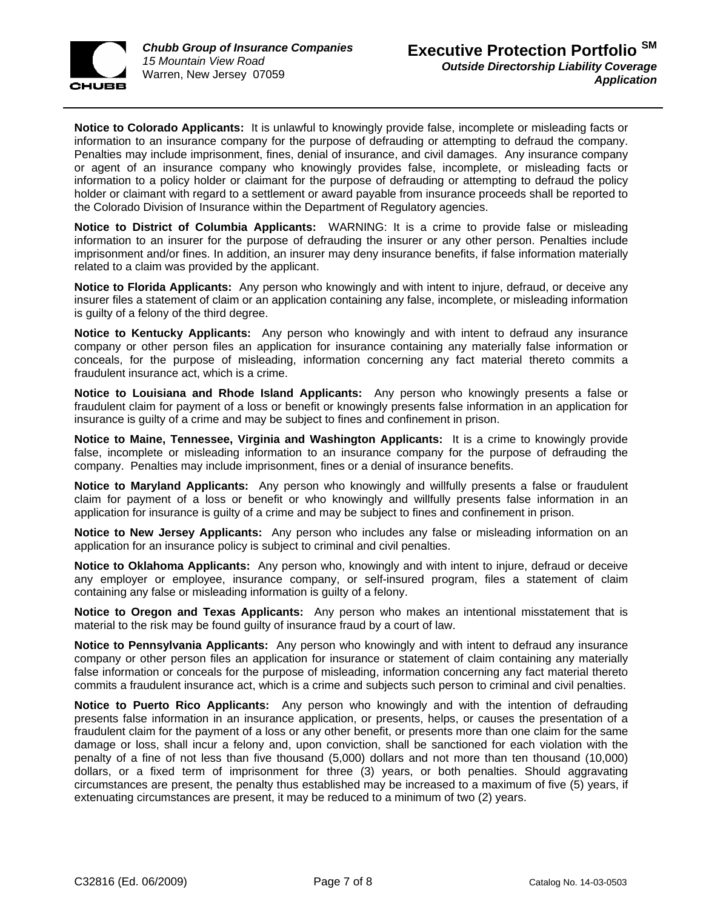

**Notice to Colorado Applicants:** It is unlawful to knowingly provide false, incomplete or misleading facts or information to an insurance company for the purpose of defrauding or attempting to defraud the company. Penalties may include imprisonment, fines, denial of insurance, and civil damages. Any insurance company or agent of an insurance company who knowingly provides false, incomplete, or misleading facts or information to a policy holder or claimant for the purpose of defrauding or attempting to defraud the policy holder or claimant with regard to a settlement or award payable from insurance proceeds shall be reported to the Colorado Division of Insurance within the Department of Regulatory agencies.

**Notice to District of Columbia Applicants:** WARNING: It is a crime to provide false or misleading information to an insurer for the purpose of defrauding the insurer or any other person. Penalties include imprisonment and/or fines. In addition, an insurer may deny insurance benefits, if false information materially related to a claim was provided by the applicant.

**Notice to Florida Applicants:** Any person who knowingly and with intent to injure, defraud, or deceive any insurer files a statement of claim or an application containing any false, incomplete, or misleading information is guilty of a felony of the third degree.

**Notice to Kentucky Applicants:** Any person who knowingly and with intent to defraud any insurance company or other person files an application for insurance containing any materially false information or conceals, for the purpose of misleading, information concerning any fact material thereto commits a fraudulent insurance act, which is a crime.

**Notice to Louisiana and Rhode Island Applicants:** Any person who knowingly presents a false or fraudulent claim for payment of a loss or benefit or knowingly presents false information in an application for insurance is guilty of a crime and may be subject to fines and confinement in prison.

**Notice to Maine, Tennessee, Virginia and Washington Applicants:** It is a crime to knowingly provide false, incomplete or misleading information to an insurance company for the purpose of defrauding the company. Penalties may include imprisonment, fines or a denial of insurance benefits.

**Notice to Maryland Applicants:** Any person who knowingly and willfully presents a false or fraudulent claim for payment of a loss or benefit or who knowingly and willfully presents false information in an application for insurance is guilty of a crime and may be subject to fines and confinement in prison.

**Notice to New Jersey Applicants:** Any person who includes any false or misleading information on an application for an insurance policy is subject to criminal and civil penalties.

**Notice to Oklahoma Applicants:** Any person who, knowingly and with intent to injure, defraud or deceive any employer or employee, insurance company, or self-insured program, files a statement of claim containing any false or misleading information is guilty of a felony.

**Notice to Oregon and Texas Applicants:** Any person who makes an intentional misstatement that is material to the risk may be found guilty of insurance fraud by a court of law.

**Notice to Pennsylvania Applicants:** Any person who knowingly and with intent to defraud any insurance company or other person files an application for insurance or statement of claim containing any materially false information or conceals for the purpose of misleading, information concerning any fact material thereto commits a fraudulent insurance act, which is a crime and subjects such person to criminal and civil penalties.

**Notice to Puerto Rico Applicants:** Any person who knowingly and with the intention of defrauding presents false information in an insurance application, or presents, helps, or causes the presentation of a fraudulent claim for the payment of a loss or any other benefit, or presents more than one claim for the same damage or loss, shall incur a felony and, upon conviction, shall be sanctioned for each violation with the penalty of a fine of not less than five thousand (5,000) dollars and not more than ten thousand (10,000) dollars, or a fixed term of imprisonment for three (3) years, or both penalties. Should aggravating circumstances are present, the penalty thus established may be increased to a maximum of five (5) years, if extenuating circumstances are present, it may be reduced to a minimum of two (2) years.